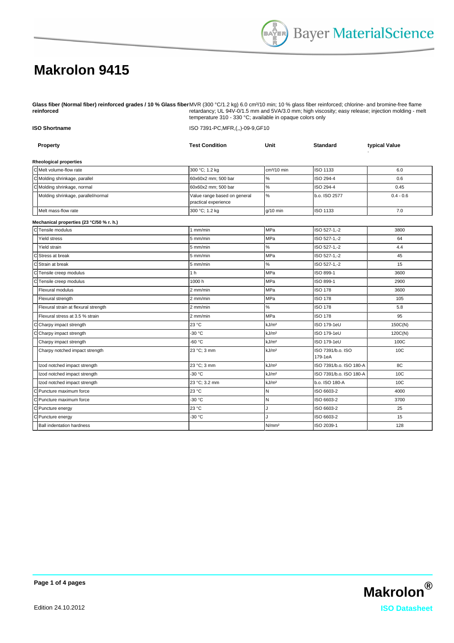## **Makrolon 9415**

**Glass fiber (Normal fiber) reinforced grades / 10 % Glass fiber reinforced** MVR (300 °C/1.2 kg) 6.0 cm<sup>3</sup>/10 min; 10 % glass fiber reinforced; chlorine- and bromine-free flame retardancy; UL 94V-0/1.5 mm and 5VA/3.0 mm; high viscosity; easy release; injection molding - melt temperature 310 - 330 °C; available in opaque colors only

| <b>ISO Shortname</b>                     | ISO 7391-PC, MFR, (,,)-09-9, GF10                    |                   |                              |                 |  |
|------------------------------------------|------------------------------------------------------|-------------------|------------------------------|-----------------|--|
| Property                                 | <b>Test Condition</b>                                | Unit              | <b>Standard</b>              | typical Value   |  |
| <b>Rheological properties</b>            |                                                      |                   |                              |                 |  |
| C Melt volume-flow rate                  | 300 °C; 1.2 kg                                       | $cm3/10$ min      | <b>ISO 1133</b>              | 6.0             |  |
| C Molding shrinkage, parallel            | 60x60x2 mm; 500 bar                                  | $\%$              | ISO 294-4                    | 0.6             |  |
| C Molding shrinkage, normal              | 60x60x2 mm; 500 bar                                  | $\%$              | ISO 294-4                    | 0.45            |  |
| Molding shrinkage, parallel/normal       | Value range based on general<br>practical experience | $\%$              | b.o. ISO 2577                | $0.4 - 0.6$     |  |
| Melt mass-flow rate                      | 300 °C; 1.2 kg                                       | $g/10$ min        | ISO 1133                     | 7.0             |  |
| Mechanical properties (23 °C/50 % r. h.) |                                                      |                   |                              |                 |  |
| C Tensile modulus                        | 1 mm/min                                             | MPa               | ISO 527-1,-2                 | 3800            |  |
| Yield stress                             | 5 mm/min                                             | <b>MPa</b>        | ISO 527-1,-2                 | 64              |  |
| Yield strain                             | 5 mm/min                                             | $\%$              | ISO 527-1,-2                 | 4.4             |  |
| c<br>Stress at break                     | 5 mm/min                                             | <b>MPa</b>        | ISO 527-1,-2                 | 45              |  |
| C Strain at break                        | 15 mm/min                                            | %                 | ISO 527-1,-2                 | 15              |  |
| C Tensile creep modulus                  | 1 <sub>h</sub>                                       | MPa               | ISO 899-1                    | 3600            |  |
| C Tensile creep modulus                  | 1000h                                                | MPa               | ISO 899-1                    | 2900            |  |
| Flexural modulus                         | 2 mm/min                                             | <b>MPa</b>        | <b>ISO 178</b>               | 3600            |  |
| Flexural strength                        | $2 \text{ mm/min}$                                   | MPa               | <b>ISO 178</b>               | 105             |  |
| Flexural strain at flexural strength     | 2 mm/min                                             | $\%$              | <b>ISO 178</b>               | 5.8             |  |
| Flexural stress at 3.5 % strain          | 2 mm/min                                             | <b>MPa</b>        | <b>ISO 178</b>               | 95              |  |
| lс<br>Charpy impact strength             | 23 °C                                                | kJ/m <sup>2</sup> | ISO 179-1eU                  | 150C(N)         |  |
| lс<br>Charpy impact strength             | -30 °C                                               | kJ/m <sup>2</sup> | ISO 179-1eU                  | 120C(N)         |  |
| Charpy impact strength                   | -60 °C                                               | kJ/m <sup>2</sup> | ISO 179-1eU                  | 100C            |  |
| Charpy notched impact strength           | 23 °C; 3 mm                                          | kJ/m <sup>2</sup> | ISO 7391/b.o. ISO<br>179-1eA | 10C             |  |
| Izod notched impact strength             | 23 °C; 3 mm                                          | kJ/m <sup>2</sup> | ISO 7391/b.o. ISO 180-A      | 8C              |  |
| Izod notched impact strength             | -30 °C                                               | kJ/m <sup>2</sup> | ISO 7391/b.o. ISO 180-A      | 10 <sup>C</sup> |  |
| Izod notched impact strength             | 23 °C; 3.2 mm                                        | kJ/m <sup>2</sup> | b.o. ISO 180-A               | 10C             |  |
| lс<br>Puncture maximum force             | 23 °C                                                | $\mathsf{N}$      | ISO 6603-2                   | 4000            |  |
| lc<br>Puncture maximum force             | -30 °C                                               | $\mathsf{N}$      | ISO 6603-2                   | 3700            |  |
| $\overline{\text{c}}$<br>Puncture energy | 23 °C                                                | J.                | ISO 6603-2                   | 25              |  |
| lc<br>Puncture energy                    | -30 °C                                               |                   | ISO 6603-2                   | 15              |  |
| <b>Ball indentation hardness</b>         |                                                      | N/mm <sup>2</sup> | ISO 2039-1                   | 128             |  |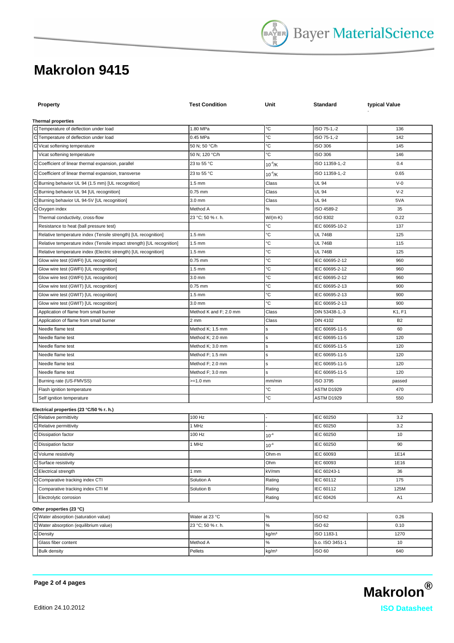## **Makrolon 9415**

| <b>Property</b>                                                                                                                         | <b>Test Condition</b>                | Unit              | Standard                          | typical Value   |  |  |  |
|-----------------------------------------------------------------------------------------------------------------------------------------|--------------------------------------|-------------------|-----------------------------------|-----------------|--|--|--|
| <b>Thermal properties</b>                                                                                                               |                                      |                   |                                   |                 |  |  |  |
| C Temperature of deflection under load                                                                                                  | 1.80 MPa                             | ℃                 | ISO 75-1,-2                       | 136             |  |  |  |
| C Temperature of deflection under load                                                                                                  | 0.45 MPa                             | °C                | ISO 75-1,-2                       | 142             |  |  |  |
| C Vicat softening temperature                                                                                                           | 50 N; 50 °C/h                        | °C                | <b>ISO 306</b>                    | 145             |  |  |  |
| Vicat softening temperature                                                                                                             | 50 N; 120 °C/h                       | °C                | <b>ISO 306</b>                    | 146             |  |  |  |
| C Coefficient of linear thermal expansion, parallel                                                                                     | 23 to 55 °C                          | $10^{-4}$ /K      | ISO 11359-1,-2                    | 0.4             |  |  |  |
| C Coefficient of linear thermal expansion, transverse                                                                                   | 23 to 55 °C                          | $10^{-4}$ /K      | ISO 11359-1,-2                    | 0.65            |  |  |  |
| C Burning behavior UL 94 (1.5 mm) [UL recognition]                                                                                      | $1.5 \text{ mm}$                     | Class             | <b>UL 94</b>                      | $V-0$           |  |  |  |
| C Burning behavior UL 94 [UL recognition]                                                                                               | $0.75$ mm                            | Class             | UL 94                             | $V-2$           |  |  |  |
| C Burning behavior UL 94-5V [UL recognition]                                                                                            | 3.0 mm                               | Class             | UL 94                             | 5VA             |  |  |  |
| Oxygen index<br>С                                                                                                                       | Method A                             | $\%$              | ISO 4589-2                        | 35              |  |  |  |
| Thermal conductivity, cross-flow                                                                                                        | 23 °C; 50 % r. h.                    | $W/(m \cdot K)$   | ISO 8302                          | 0.22            |  |  |  |
| Resistance to heat (ball pressure test)                                                                                                 |                                      | °C                | IEC 60695-10-2                    | 137             |  |  |  |
|                                                                                                                                         | $1.5$ mm                             | °C                | <b>UL 746B</b>                    | 125             |  |  |  |
| Relative temperature index (Tensile strength) [UL recognition]<br>Relative temperature index (Tensile impact strength) [UL recognition] | $1.5 \text{ mm}$                     | °C                | <b>UL 746B</b>                    | 115             |  |  |  |
|                                                                                                                                         | $1.5$ mm                             | °C                | <b>UL 746B</b>                    | 125             |  |  |  |
| Relative temperature index (Electric strength) [UL recognition]<br>Glow wire test (GWFI) [UL recognition]                               | $0.75$ mm                            | °C                | IEC 60695-2-12                    | 960             |  |  |  |
|                                                                                                                                         |                                      | °C                | IEC 60695-2-12                    |                 |  |  |  |
| Glow wire test (GWFI) [UL recognition]                                                                                                  | $1.5 \text{ mm}$<br>$3.0$ mm         | °C                | IEC 60695-2-12                    | 960             |  |  |  |
| Glow wire test (GWFI) [UL recognition]                                                                                                  | $0.75$ mm                            | °C                | IEC 60695-2-13                    | 960<br>900      |  |  |  |
| Glow wire test (GWIT) [UL recognition]<br>Glow wire test (GWIT) [UL recognition]                                                        | $1.5$ mm                             | °C                | IEC 60695-2-13                    | 900             |  |  |  |
| Glow wire test (GWIT) [UL recognition]                                                                                                  | 3.0 mm                               | °C                | IEC 60695-2-13                    |                 |  |  |  |
|                                                                                                                                         |                                      |                   |                                   | 900             |  |  |  |
| Application of flame from small burner                                                                                                  | Method K and F; 2.0 mm               | Class             | DIN 53438-1,-3                    | K1, F1          |  |  |  |
| Application of flame from small burner<br>Needle flame test                                                                             | 2 <sub>mm</sub>                      | Class             | <b>DIN 4102</b><br>IEC 60695-11-5 | <b>B2</b><br>60 |  |  |  |
| Needle flame test                                                                                                                       | Method K; 1.5 mm                     | s                 | IEC 60695-11-5                    | 120             |  |  |  |
| Needle flame test                                                                                                                       | Method K; 2.0 mm                     | s                 | IEC 60695-11-5                    | 120             |  |  |  |
| Needle flame test                                                                                                                       | Method K; 3.0 mm<br>Method F; 1.5 mm | s                 | IEC 60695-11-5                    | 120             |  |  |  |
| Needle flame test                                                                                                                       | Method F; 2.0 mm                     | s<br>s            | IEC 60695-11-5                    | 120             |  |  |  |
| Needle flame test                                                                                                                       | Method F; 3.0 mm                     |                   | IEC 60695-11-5                    | 120             |  |  |  |
| Burning rate (US-FMVSS)                                                                                                                 | $>=1.0$ mm                           | s<br>mm/min       | ISO 3795                          |                 |  |  |  |
|                                                                                                                                         |                                      | ℃                 | ASTM D1929                        | passed<br>470   |  |  |  |
| Flash ignition temperature<br>Self ignition temperature                                                                                 |                                      | °C                | <b>ASTM D1929</b>                 | 550             |  |  |  |
|                                                                                                                                         |                                      |                   |                                   |                 |  |  |  |
| Electrical properties (23 °C/50 % r. h.)                                                                                                |                                      |                   |                                   |                 |  |  |  |
| C Relative permittivity                                                                                                                 | 100 Hz                               |                   | IEC 60250                         | 3.2             |  |  |  |
| $\overline{C}$ Relative permittivity                                                                                                    | 1 MHz                                |                   | IEC 60250                         | 3.2             |  |  |  |
| C Dissipation factor                                                                                                                    | 100 Hz                               | $10^{-4}$         | IEC 60250                         | 10              |  |  |  |
| C Dissipation factor                                                                                                                    | 1 MHz                                | $10^{-4}$         | IEC 60250                         | 90              |  |  |  |
| C Volume resistivity                                                                                                                    |                                      | Ohm-m             | IEC 60093                         | 1E14            |  |  |  |
| C Surface resistivity                                                                                                                   |                                      | Ohm               | IEC 60093                         | 1E16            |  |  |  |
| C Electrical strength                                                                                                                   | 1mm                                  | kV/mm             | IEC 60243-1                       | 36              |  |  |  |
| C Comparative tracking index CTI                                                                                                        | Solution A                           | Rating            | IEC 60112                         | 175             |  |  |  |
| Comparative tracking index CTI M                                                                                                        | Solution B                           | Rating            | IEC 60112                         | 125M            |  |  |  |
| Electrolytic corrosion                                                                                                                  |                                      | Rating            | IEC 60426                         | A1              |  |  |  |
| Other properties (23 °C)                                                                                                                |                                      |                   |                                   |                 |  |  |  |
| C Water absorption (saturation value)                                                                                                   | Water at 23 °C                       | $\%$              | ISO 62                            | 0.26            |  |  |  |
| C Water absorption (equilibrium value)                                                                                                  | 23 °C; 50 % r. h.                    | $\%$              | ISO 62                            | 0.10            |  |  |  |
| C Density                                                                                                                               |                                      | kg/m <sup>3</sup> | ISO 1183-1                        | 1270            |  |  |  |
| Glass fiber content                                                                                                                     | Method A                             | $\%$              | b.o. ISO 3451-1                   | 10              |  |  |  |
| <b>Bulk density</b>                                                                                                                     | Pellets                              | kg/m <sup>3</sup> | ISO 60                            | 640             |  |  |  |
|                                                                                                                                         |                                      |                   |                                   |                 |  |  |  |

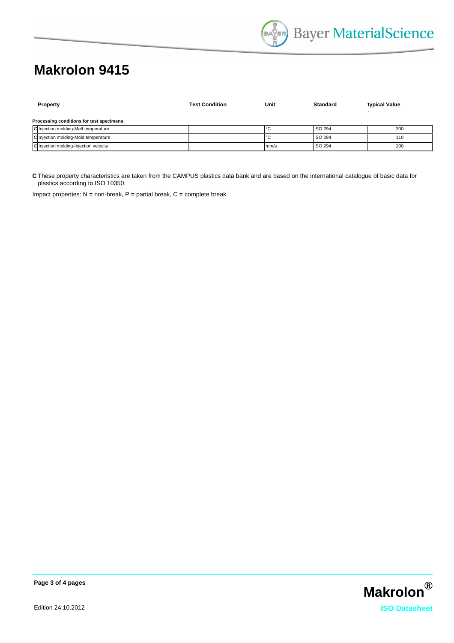## **Makrolon 9415**

| Property                                 | <b>Test Condition</b> | Unit | Standard       | typical Value |  |  |
|------------------------------------------|-----------------------|------|----------------|---------------|--|--|
| Processing conditions for test specimens |                       |      |                |               |  |  |
| C Injection molding-Melt temperature     |                       |      | <b>ISO 294</b> | 300           |  |  |
| C Injection molding-Mold temperature     |                       | ັ    | <b>ISO 294</b> | 110           |  |  |
| C Injection molding-Injection velocity   |                       | mm/s | <b>ISO 294</b> | 200           |  |  |

**C** These property characteristics are taken from the CAMPUS plastics data bank and are based on the international catalogue of basic data for plastics according to ISO 10350.

Impact properties:  $N =$  non-break,  $P =$  partial break,  $C =$  complete break



**Page 3 of 4 pages**